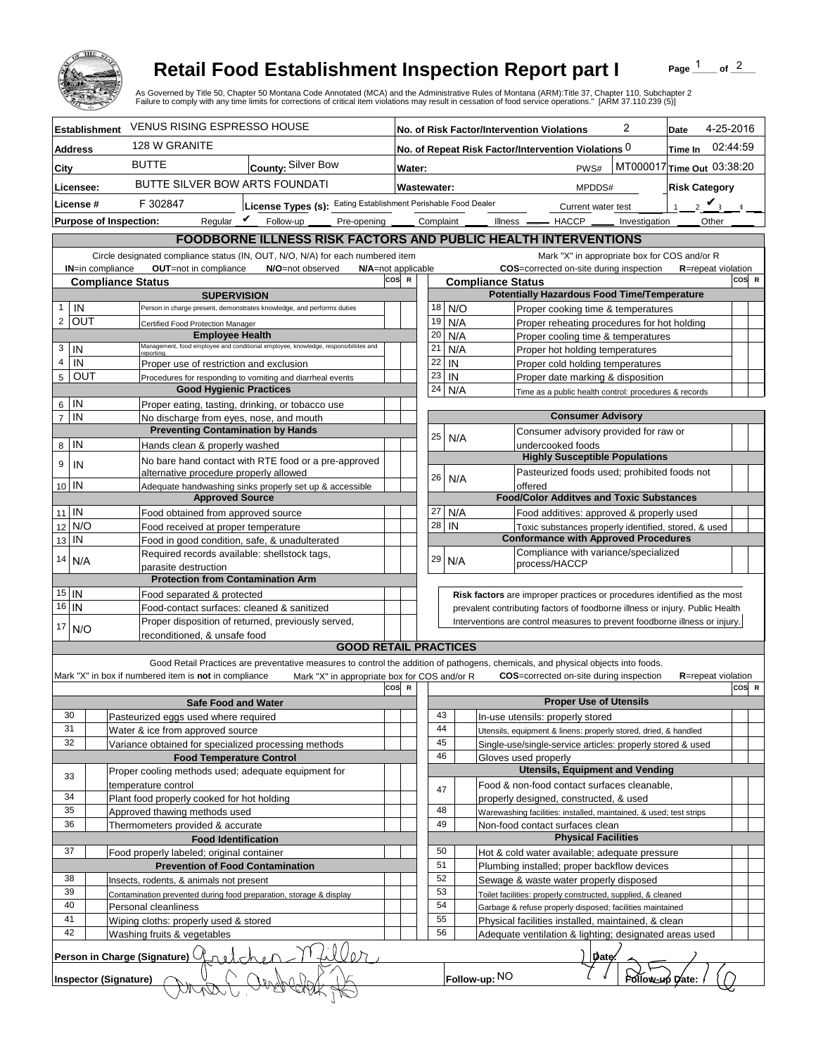

## **Retail Food Establishment Inspection Report part I**

Page  $\frac{1}{1}$  of  $\frac{2}{1}$ 

|                                 |                                                                                                                                         |                                                                                            |                                                                                                                                   | <b>Retail Food Establishment Inspection Report part I</b><br>of $^2$<br>Page<br>As Governed by Title 50, Chapter 50 Montana Code Annotated (MCA) and the Administrative Rules of Montana (ARM):Title 37, Chapter 110, Subchapter 2<br>Failure to comply with any time limits for corrections of critical item violations may result in cessation of food service operations." [ARM 37.110.239 (5)] |                                              |                                                                                                                                             |            |                          |                                                                                                                               |                 |                            |          |  |
|---------------------------------|-----------------------------------------------------------------------------------------------------------------------------------------|--------------------------------------------------------------------------------------------|-----------------------------------------------------------------------------------------------------------------------------------|----------------------------------------------------------------------------------------------------------------------------------------------------------------------------------------------------------------------------------------------------------------------------------------------------------------------------------------------------------------------------------------------------|----------------------------------------------|---------------------------------------------------------------------------------------------------------------------------------------------|------------|--------------------------|-------------------------------------------------------------------------------------------------------------------------------|-----------------|----------------------------|----------|--|
| <b>Establishment</b>            |                                                                                                                                         |                                                                                            | <b>VENUS RISING ESPRESSO HOUSE</b>                                                                                                |                                                                                                                                                                                                                                                                                                                                                                                                    |                                              | 2<br>No. of Risk Factor/Intervention Violations                                                                                             |            |                          |                                                                                                                               |                 | 4-25-2016<br>Date          |          |  |
| Address                         |                                                                                                                                         | 128 W GRANITE                                                                              |                                                                                                                                   |                                                                                                                                                                                                                                                                                                                                                                                                    |                                              |                                                                                                                                             |            |                          | No. of Repeat Risk Factor/Intervention Violations 0                                                                           |                 | Time In                    | 02:44:59 |  |
| City                            |                                                                                                                                         | <b>BUTTE</b>                                                                               | County: Silver Bow                                                                                                                |                                                                                                                                                                                                                                                                                                                                                                                                    | MT000017 Time Out 03:38:20<br>PWS#<br>Water: |                                                                                                                                             |            |                          |                                                                                                                               |                 |                            |          |  |
| Licensee:                       |                                                                                                                                         |                                                                                            | BUTTE SILVER BOW ARTS FOUNDATI                                                                                                    |                                                                                                                                                                                                                                                                                                                                                                                                    |                                              | <b>Wastewater:</b><br>MPDDS#                                                                                                                |            |                          |                                                                                                                               |                 | <b>Risk Category</b>       |          |  |
| License #                       |                                                                                                                                         | F 302847                                                                                   | License Types (s): Eating Establishment Perishable Food Dealer                                                                    |                                                                                                                                                                                                                                                                                                                                                                                                    |                                              | Current water test                                                                                                                          |            |                          |                                                                                                                               |                 | $2 \vee$<br>$\mathbf{1}$   |          |  |
|                                 |                                                                                                                                         | Reqular $\boldsymbol{V}$<br><b>Purpose of Inspection:</b>                                  | Follow-up<br>Pre-opening                                                                                                          |                                                                                                                                                                                                                                                                                                                                                                                                    |                                              |                                                                                                                                             | Complaint  |                          | Illness <u>- HACCP</u> __                                                                                                     | Investigation   | Other                      |          |  |
|                                 |                                                                                                                                         |                                                                                            | FOODBORNE ILLNESS RISK FACTORS AND PUBLIC HEALTH INTERVENTIONS                                                                    |                                                                                                                                                                                                                                                                                                                                                                                                    |                                              |                                                                                                                                             |            |                          |                                                                                                                               |                 |                            |          |  |
|                                 |                                                                                                                                         |                                                                                            |                                                                                                                                   |                                                                                                                                                                                                                                                                                                                                                                                                    |                                              |                                                                                                                                             |            |                          |                                                                                                                               |                 |                            |          |  |
|                                 | <b>IN=in compliance</b>                                                                                                                 |                                                                                            | Circle designated compliance status (IN, OUT, N/O, N/A) for each numbered item<br>OUT=not in compliance<br>N/O=not observed       |                                                                                                                                                                                                                                                                                                                                                                                                    |                                              | Mark "X" in appropriate box for COS and/or R<br>COS=corrected on-site during inspection<br>N/A=not applicable<br><b>R</b> =repeat violation |            |                          |                                                                                                                               |                 |                            |          |  |
|                                 |                                                                                                                                         | <b>Compliance Status</b>                                                                   |                                                                                                                                   | cos                                                                                                                                                                                                                                                                                                                                                                                                | $\mathbf R$                                  |                                                                                                                                             |            | <b>Compliance Status</b> |                                                                                                                               |                 |                            | COS R    |  |
| $\mathbf{1}$                    |                                                                                                                                         |                                                                                            | <b>SUPERVISION</b>                                                                                                                |                                                                                                                                                                                                                                                                                                                                                                                                    |                                              |                                                                                                                                             |            |                          | <b>Potentially Hazardous Food Time/Temperature</b>                                                                            |                 |                            |          |  |
| IN<br>$\overline{2}$            | OUT                                                                                                                                     |                                                                                            | Person in charge present, demonstrates knowledge, and performs duties                                                             |                                                                                                                                                                                                                                                                                                                                                                                                    |                                              | 18<br>19                                                                                                                                    | N/O<br>N/A |                          | Proper cooking time & temperatures<br>Proper reheating procedures for hot holding                                             |                 |                            |          |  |
|                                 |                                                                                                                                         | Certified Food Protection Manager<br><b>Employee Health</b>                                |                                                                                                                                   |                                                                                                                                                                                                                                                                                                                                                                                                    |                                              | 20                                                                                                                                          | N/A        |                          | Proper cooling time & temperatures                                                                                            |                 |                            |          |  |
| 3<br>IN                         |                                                                                                                                         | reporting                                                                                  | Management, food employee and conditional employee, knowledge, responsibiliites and                                               |                                                                                                                                                                                                                                                                                                                                                                                                    |                                              | 21                                                                                                                                          | N/A        |                          | Proper hot holding temperatures                                                                                               |                 |                            |          |  |
| $\overline{4}$                  | IN                                                                                                                                      | Proper use of restriction and exclusion                                                    |                                                                                                                                   |                                                                                                                                                                                                                                                                                                                                                                                                    |                                              | 22                                                                                                                                          | IN         |                          | Proper cold holding temperatures                                                                                              |                 |                            |          |  |
| $5\phantom{.0}$                 | OUT                                                                                                                                     |                                                                                            | Procedures for responding to vomiting and diarrheal events                                                                        |                                                                                                                                                                                                                                                                                                                                                                                                    |                                              | 23                                                                                                                                          | IN         |                          | Proper date marking & disposition                                                                                             |                 |                            |          |  |
|                                 |                                                                                                                                         |                                                                                            | <b>Good Hygienic Practices</b>                                                                                                    |                                                                                                                                                                                                                                                                                                                                                                                                    |                                              | 24                                                                                                                                          | N/A        |                          | Time as a public health control: procedures & records                                                                         |                 |                            |          |  |
| IN<br>6<br>$\overline{7}$<br>IN |                                                                                                                                         | No discharge from eyes, nose, and mouth                                                    | Proper eating, tasting, drinking, or tobacco use                                                                                  |                                                                                                                                                                                                                                                                                                                                                                                                    |                                              |                                                                                                                                             |            |                          | <b>Consumer Advisory</b>                                                                                                      |                 |                            |          |  |
|                                 |                                                                                                                                         |                                                                                            | <b>Preventing Contamination by Hands</b>                                                                                          |                                                                                                                                                                                                                                                                                                                                                                                                    |                                              |                                                                                                                                             |            |                          | Consumer advisory provided for raw or                                                                                         |                 |                            |          |  |
| IN<br>8                         |                                                                                                                                         | Hands clean & properly washed                                                              |                                                                                                                                   |                                                                                                                                                                                                                                                                                                                                                                                                    |                                              | 25                                                                                                                                          | N/A        |                          | undercooked foods                                                                                                             |                 |                            |          |  |
| 9<br>IN                         |                                                                                                                                         |                                                                                            | No bare hand contact with RTE food or a pre-approved                                                                              |                                                                                                                                                                                                                                                                                                                                                                                                    |                                              |                                                                                                                                             |            |                          | <b>Highly Susceptible Populations</b>                                                                                         |                 |                            |          |  |
| 10 IN                           |                                                                                                                                         | alternative procedure properly allowed                                                     |                                                                                                                                   |                                                                                                                                                                                                                                                                                                                                                                                                    |                                              | 26                                                                                                                                          | N/A        |                          | Pasteurized foods used; prohibited foods not<br>offered                                                                       |                 |                            |          |  |
|                                 |                                                                                                                                         |                                                                                            | Adequate handwashing sinks properly set up & accessible<br><b>Approved Source</b>                                                 |                                                                                                                                                                                                                                                                                                                                                                                                    |                                              |                                                                                                                                             |            |                          | <b>Food/Color Additves and Toxic Substances</b>                                                                               |                 |                            |          |  |
| $11$ IN                         |                                                                                                                                         | Food obtained from approved source                                                         |                                                                                                                                   |                                                                                                                                                                                                                                                                                                                                                                                                    |                                              | 27                                                                                                                                          | N/A        |                          | Food additives: approved & properly used                                                                                      |                 |                            |          |  |
| 12                              | N/O                                                                                                                                     |                                                                                            | Food received at proper temperature                                                                                               |                                                                                                                                                                                                                                                                                                                                                                                                    |                                              | 28<br>IN<br>Toxic substances properly identified, stored, & used                                                                            |            |                          |                                                                                                                               |                 |                            |          |  |
| IN<br>13                        |                                                                                                                                         |                                                                                            | Food in good condition, safe, & unadulterated                                                                                     |                                                                                                                                                                                                                                                                                                                                                                                                    |                                              |                                                                                                                                             |            |                          | <b>Conformance with Approved Procedures</b>                                                                                   |                 |                            |          |  |
| 14<br>N/A                       |                                                                                                                                         |                                                                                            | Required records available: shellstock tags,                                                                                      |                                                                                                                                                                                                                                                                                                                                                                                                    |                                              | 29                                                                                                                                          | N/A        |                          | Compliance with variance/specialized<br>process/HACCP                                                                         |                 |                            |          |  |
|                                 |                                                                                                                                         | parasite destruction                                                                       | <b>Protection from Contamination Arm</b>                                                                                          |                                                                                                                                                                                                                                                                                                                                                                                                    |                                              |                                                                                                                                             |            |                          |                                                                                                                               |                 |                            |          |  |
| $15$ IN                         |                                                                                                                                         | Food separated & protected                                                                 |                                                                                                                                   |                                                                                                                                                                                                                                                                                                                                                                                                    |                                              |                                                                                                                                             |            |                          | Risk factors are improper practices or procedures identified as the most                                                      |                 |                            |          |  |
|                                 | $16$ IN<br>Food-contact surfaces: cleaned & sanitized                                                                                   |                                                                                            |                                                                                                                                   | prevalent contributing factors of foodborne illness or injury. Public Health                                                                                                                                                                                                                                                                                                                       |                                              |                                                                                                                                             |            |                          |                                                                                                                               |                 |                            |          |  |
| 17                              | Proper disposition of returned, previously served,<br>Interventions are control measures to prevent foodborne illness or injury.<br>N/O |                                                                                            |                                                                                                                                   |                                                                                                                                                                                                                                                                                                                                                                                                    |                                              |                                                                                                                                             |            |                          |                                                                                                                               |                 |                            |          |  |
|                                 |                                                                                                                                         | reconditioned, & unsafe food                                                               | <b>GOOD RETAIL PRACTICES</b>                                                                                                      |                                                                                                                                                                                                                                                                                                                                                                                                    |                                              |                                                                                                                                             |            |                          |                                                                                                                               |                 |                            |          |  |
|                                 |                                                                                                                                         |                                                                                            | Good Retail Practices are preventative measures to control the addition of pathogens, chemicals, and physical objects into foods. |                                                                                                                                                                                                                                                                                                                                                                                                    |                                              |                                                                                                                                             |            |                          |                                                                                                                               |                 |                            |          |  |
|                                 |                                                                                                                                         | Mark "X" in box if numbered item is not in compliance                                      | Mark "X" in appropriate box for COS and/or R                                                                                      |                                                                                                                                                                                                                                                                                                                                                                                                    |                                              |                                                                                                                                             |            |                          | <b>COS</b> =corrected on-site during inspection                                                                               |                 | <b>R</b> =repeat violation |          |  |
|                                 |                                                                                                                                         |                                                                                            |                                                                                                                                   | cos                                                                                                                                                                                                                                                                                                                                                                                                | - R                                          |                                                                                                                                             |            |                          |                                                                                                                               |                 |                            | COS R    |  |
|                                 |                                                                                                                                         |                                                                                            | <b>Safe Food and Water</b>                                                                                                        |                                                                                                                                                                                                                                                                                                                                                                                                    |                                              |                                                                                                                                             |            |                          | <b>Proper Use of Utensils</b>                                                                                                 |                 |                            |          |  |
| 30<br>31                        |                                                                                                                                         | Pasteurized eggs used where required<br>Water & ice from approved source                   |                                                                                                                                   |                                                                                                                                                                                                                                                                                                                                                                                                    |                                              | 43<br>44                                                                                                                                    |            |                          | In-use utensils: properly stored                                                                                              |                 |                            |          |  |
| 32                              |                                                                                                                                         | Variance obtained for specialized processing methods                                       |                                                                                                                                   |                                                                                                                                                                                                                                                                                                                                                                                                    |                                              | 45                                                                                                                                          |            |                          | Utensils, equipment & linens: properly stored, dried, & handled<br>Single-use/single-service articles: properly stored & used |                 |                            |          |  |
|                                 |                                                                                                                                         |                                                                                            | <b>Food Temperature Control</b>                                                                                                   |                                                                                                                                                                                                                                                                                                                                                                                                    |                                              | 46                                                                                                                                          |            |                          | Gloves used properly                                                                                                          |                 |                            |          |  |
| 33                              |                                                                                                                                         | Proper cooling methods used; adequate equipment for                                        |                                                                                                                                   |                                                                                                                                                                                                                                                                                                                                                                                                    |                                              |                                                                                                                                             |            |                          | <b>Utensils, Equipment and Vending</b>                                                                                        |                 |                            |          |  |
|                                 |                                                                                                                                         | temperature control                                                                        |                                                                                                                                   |                                                                                                                                                                                                                                                                                                                                                                                                    |                                              | 47                                                                                                                                          |            |                          | Food & non-food contact surfaces cleanable,                                                                                   |                 |                            |          |  |
| 34<br>35                        |                                                                                                                                         | Plant food properly cooked for hot holding                                                 |                                                                                                                                   |                                                                                                                                                                                                                                                                                                                                                                                                    |                                              | 48                                                                                                                                          |            |                          | properly designed, constructed, & used                                                                                        |                 |                            |          |  |
| 36                              |                                                                                                                                         | Approved thawing methods used<br>Thermometers provided & accurate                          |                                                                                                                                   |                                                                                                                                                                                                                                                                                                                                                                                                    |                                              | 49                                                                                                                                          |            |                          | Warewashing facilities: installed, maintained, & used; test strips<br>Non-food contact surfaces clean                         |                 |                            |          |  |
|                                 |                                                                                                                                         | <b>Food Identification</b>                                                                 |                                                                                                                                   |                                                                                                                                                                                                                                                                                                                                                                                                    |                                              |                                                                                                                                             |            |                          | <b>Physical Facilities</b>                                                                                                    |                 |                            |          |  |
| 37                              |                                                                                                                                         |                                                                                            | Food properly labeled; original container                                                                                         |                                                                                                                                                                                                                                                                                                                                                                                                    |                                              | 50                                                                                                                                          |            |                          | Hot & cold water available; adequate pressure                                                                                 |                 |                            |          |  |
|                                 |                                                                                                                                         | <b>Prevention of Food Contamination</b>                                                    |                                                                                                                                   |                                                                                                                                                                                                                                                                                                                                                                                                    | 51                                           |                                                                                                                                             |            |                          | Plumbing installed; proper backflow devices                                                                                   |                 |                            |          |  |
| 38<br>39                        |                                                                                                                                         | Insects, rodents, & animals not present                                                    |                                                                                                                                   |                                                                                                                                                                                                                                                                                                                                                                                                    |                                              | 52<br>53                                                                                                                                    |            |                          | Sewage & waste water properly disposed                                                                                        |                 |                            |          |  |
| 40                              |                                                                                                                                         | Contamination prevented during food preparation, storage & display<br>Personal cleanliness |                                                                                                                                   |                                                                                                                                                                                                                                                                                                                                                                                                    |                                              | 54                                                                                                                                          |            |                          | Toilet facilities: properly constructed, supplied, & cleaned<br>Garbage & refuse properly disposed; facilities maintained     |                 |                            |          |  |
| 41                              |                                                                                                                                         | Wiping cloths: properly used & stored                                                      |                                                                                                                                   |                                                                                                                                                                                                                                                                                                                                                                                                    |                                              | 55                                                                                                                                          |            |                          | Physical facilities installed, maintained, & clean                                                                            |                 |                            |          |  |
| 42                              |                                                                                                                                         | Washing fruits & vegetables                                                                |                                                                                                                                   |                                                                                                                                                                                                                                                                                                                                                                                                    |                                              | 56                                                                                                                                          |            |                          | Adequate ventilation & lighting; designated areas used                                                                        |                 |                            |          |  |
|                                 |                                                                                                                                         | Person in Charge (Signature)                                                               |                                                                                                                                   |                                                                                                                                                                                                                                                                                                                                                                                                    |                                              |                                                                                                                                             |            |                          |                                                                                                                               | Date.           |                            |          |  |
|                                 |                                                                                                                                         | Inspector (Signature)                                                                      |                                                                                                                                   |                                                                                                                                                                                                                                                                                                                                                                                                    |                                              |                                                                                                                                             |            | Follow-up: NO            |                                                                                                                               | Fóllow-uó Date: |                            |          |  |
|                                 |                                                                                                                                         |                                                                                            |                                                                                                                                   |                                                                                                                                                                                                                                                                                                                                                                                                    |                                              |                                                                                                                                             |            |                          |                                                                                                                               |                 |                            |          |  |